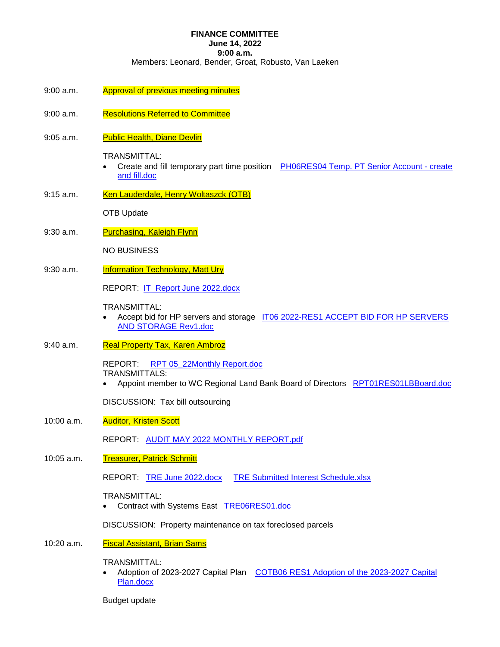## **FINANCE COMMITTEE**

## **June 14, 2022**

**9:00 a.m.** 

Members: Leonard, Bender, Groat, Robusto, Van Laeken

- 9:00 a.m. Approval of previous meeting minutes
- 9:00 a.m. Resolutions Referred to Committee
- 9:05 a.m. Public Health, Diane Devlin

TRANSMITTAL:

- Create and fill temporary part time position PH06RES04 Temp. PT Senior Account create and fill.doc
- 9:15 a.m. Ken Lauderdale, Henry Woltaszck (OTB)

OTB Update

9:30 a.m. Purchasing, Kaleigh Flynn

NO BUSINESS

9:30 a.m. **Information Technology, Matt Ury** 

REPORT: IT Report June 2022.docx

#### TRANSMITTAL:

- Accept bid for HP servers and storage IT06 2022-RES1 ACCEPT BID FOR HP SERVERS AND STORAGE Rev1.doc
- 9:40 a.m. Real Property Tax, Karen Ambroz

REPORT: RPT 05\_22Monthly Report.doc TRANSMITTALS:

Appoint member to WC Regional Land Bank Board of Directors RPT01RES01LBBoard.doc

DISCUSSION: Tax bill outsourcing

10:00 a.m. **Auditor, Kristen Scott** 

REPORT: AUDIT MAY 2022 MONTHLY REPORT.pdf

10:05 a.m. Treasurer, Patrick Schmitt

REPORT: TRE June 2022.docx TRE Submitted Interest Schedule.xlsx

TRANSMITTAL:

• Contract with Systems East TRE06RES01.doc

DISCUSSION: Property maintenance on tax foreclosed parcels

10:20 a.m. Fiscal Assistant, Brian Sams

TRANSMITTAL:

 Adoption of 2023-2027 Capital Plan COTB06 RES1 Adoption of the 2023-2027 Capital Plan.docx

Budget update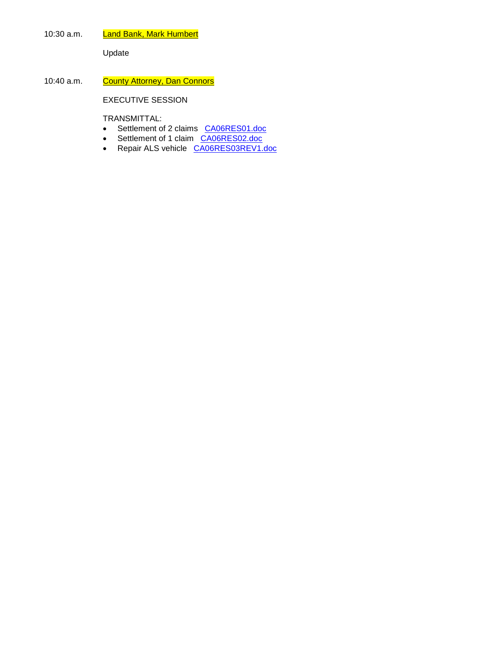10:30 a.m. Land Bank, Mark Humbert

Update

10:40 a.m. County Attorney, Dan Connors

EXECUTIVE SESSION

TRANSMITTAL:

- Settlement of 2 claims CA06RES01.doc
- Settlement of 1 claim CA06RES02.doc
- Repair ALS vehicle CA06RES03REV1.doc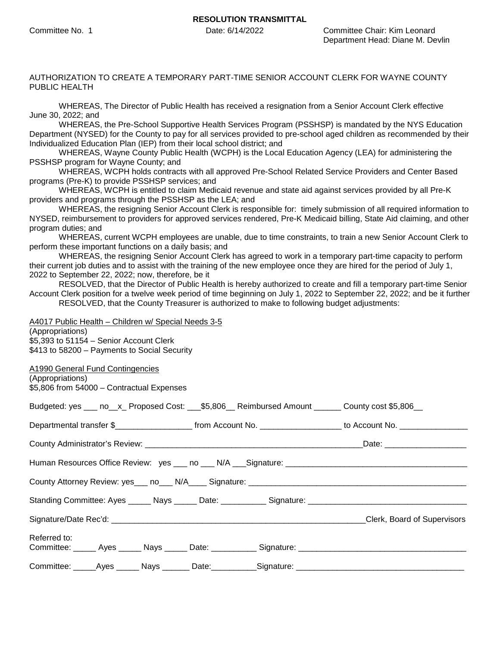#### AUTHORIZATION TO CREATE A TEMPORARY PART-TIME SENIOR ACCOUNT CLERK FOR WAYNE COUNTY PUBLIC HEALTH

WHEREAS, The Director of Public Health has received a resignation from a Senior Account Clerk effective June 30, 2022; and

WHEREAS, the Pre-School Supportive Health Services Program (PSSHSP) is mandated by the NYS Education Department (NYSED) for the County to pay for all services provided to pre-school aged children as recommended by their Individualized Education Plan (IEP) from their local school district; and

WHEREAS, Wayne County Public Health (WCPH) is the Local Education Agency (LEA) for administering the PSSHSP program for Wayne County; and

WHEREAS, WCPH holds contracts with all approved Pre-School Related Service Providers and Center Based programs (Pre-K) to provide PSSHSP services; and

WHEREAS, WCPH is entitled to claim Medicaid revenue and state aid against services provided by all Pre-K providers and programs through the PSSHSP as the LEA; and

WHEREAS, the resigning Senior Account Clerk is responsible for: timely submission of all required information to NYSED, reimbursement to providers for approved services rendered, Pre-K Medicaid billing, State Aid claiming, and other program duties; and

WHEREAS, current WCPH employees are unable, due to time constraints, to train a new Senior Account Clerk to perform these important functions on a daily basis; and

WHEREAS, the resigning Senior Account Clerk has agreed to work in a temporary part-time capacity to perform their current job duties and to assist with the training of the new employee once they are hired for the period of July 1, 2022 to September 22, 2022; now, therefore, be it

RESOLVED, that the Director of Public Health is hereby authorized to create and fill a temporary part-time Senior Account Clerk position for a twelve week period of time beginning on July 1, 2022 to September 22, 2022; and be it further RESOLVED, that the County Treasurer is authorized to make to following budget adjustments:

| A4017 Public Health - Children w/ Special Needs 3-5                                                             |  |
|-----------------------------------------------------------------------------------------------------------------|--|
| (Appropriations)                                                                                                |  |
| \$5,393 to 51154 - Senior Account Clerk                                                                         |  |
| \$413 to 58200 - Payments to Social Security                                                                    |  |
|                                                                                                                 |  |
| A1990 General Fund Contingencies                                                                                |  |
| (Appropriations)                                                                                                |  |
| \$5,806 from 54000 - Contractual Expenses                                                                       |  |
|                                                                                                                 |  |
| Budgeted: yes ___ no__x_ Proposed Cost: ___\$5,806__ Reimbursed Amount ______ County cost \$5,806__             |  |
| Departmental transfer \$______________________ from Account No. ___________________ to Account No. ____________ |  |
|                                                                                                                 |  |
|                                                                                                                 |  |
|                                                                                                                 |  |
|                                                                                                                 |  |
|                                                                                                                 |  |
|                                                                                                                 |  |
|                                                                                                                 |  |
|                                                                                                                 |  |
|                                                                                                                 |  |
|                                                                                                                 |  |
|                                                                                                                 |  |
| Referred to:                                                                                                    |  |
| Committee: _____ Ayes _____ Nays _____ Date: __________ Signature: _________________________________            |  |
|                                                                                                                 |  |
| Committee: _____Ayes ______ Nays _______ Date: __________Signature: ________________________________            |  |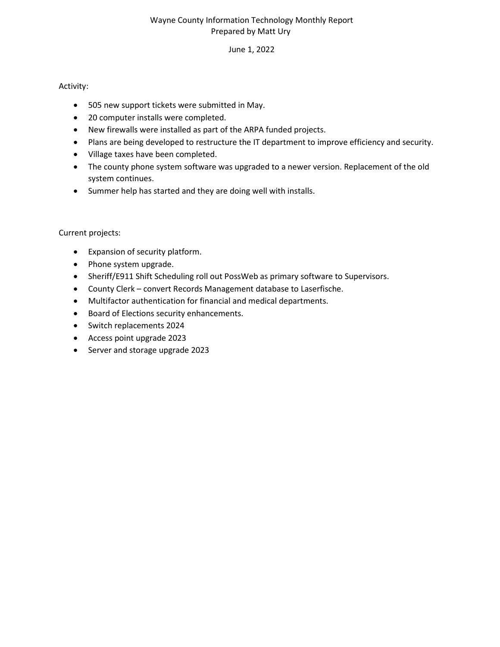## Wayne County Information Technology Monthly Report Prepared by Matt Ury

## June 1, 2022

## Activity:

- 505 new support tickets were submitted in May.
- 20 computer installs were completed.
- New firewalls were installed as part of the ARPA funded projects.
- Plans are being developed to restructure the IT department to improve efficiency and security.
- Village taxes have been completed.
- The county phone system software was upgraded to a newer version. Replacement of the old system continues.
- Summer help has started and they are doing well with installs.

## Current projects:

- Expansion of security platform.
- Phone system upgrade.
- Sheriff/E911 Shift Scheduling roll out PossWeb as primary software to Supervisors.
- County Clerk convert Records Management database to Laserfische.
- Multifactor authentication for financial and medical departments.
- **•** Board of Elections security enhancements.
- Switch replacements 2024
- Access point upgrade 2023
- Server and storage upgrade 2023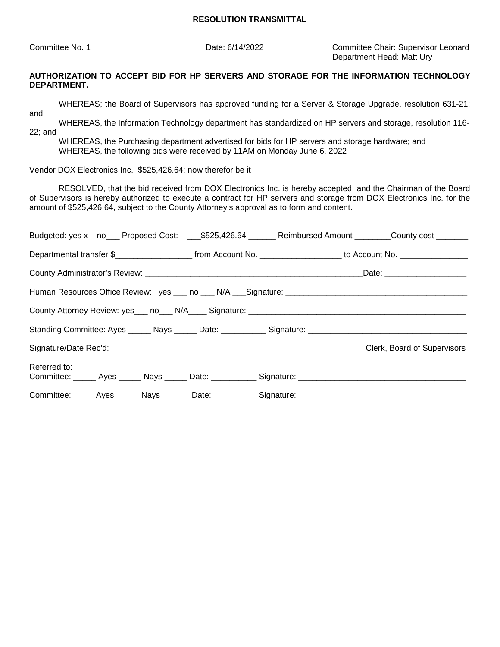Committee No. 1 Date: 6/14/2022 Committee Chair: Supervisor Leonard Department Head: Matt Ury

## **AUTHORIZATION TO ACCEPT BID FOR HP SERVERS AND STORAGE FOR THE INFORMATION TECHNOLOGY DEPARTMENT.**

WHEREAS; the Board of Supervisors has approved funding for a Server & Storage Upgrade, resolution 631-21;

and

WHEREAS, the Information Technology department has standardized on HP servers and storage, resolution 116- 22; and

WHEREAS, the Purchasing department advertised for bids for HP servers and storage hardware; and WHEREAS, the following bids were received by 11AM on Monday June 6, 2022

Vendor DOX Electronics Inc. \$525,426.64; now therefor be it

RESOLVED, that the bid received from DOX Electronics Inc. is hereby accepted; and the Chairman of the Board of Supervisors is hereby authorized to execute a contract for HP servers and storage from DOX Electronics Inc. for the amount of \$525,426.64, subject to the County Attorney's approval as to form and content.

|              | Budgeted: yes x no___ Proposed Cost: ___\$525,426.64 ______ Reimbursed Amount _______County cost _______         |  |
|--------------|------------------------------------------------------------------------------------------------------------------|--|
|              | Departmental transfer \$_______________________ from Account No. ___________________ to Account No. ____________ |  |
|              |                                                                                                                  |  |
|              |                                                                                                                  |  |
|              |                                                                                                                  |  |
|              |                                                                                                                  |  |
|              |                                                                                                                  |  |
| Referred to: | Committee: ______ Ayes ______ Nays ______ Date: ___________ Signature: _____________________________             |  |
|              | Committee: _____Ayes ______ Nays _______ Date: ___________Signature: _______________________________             |  |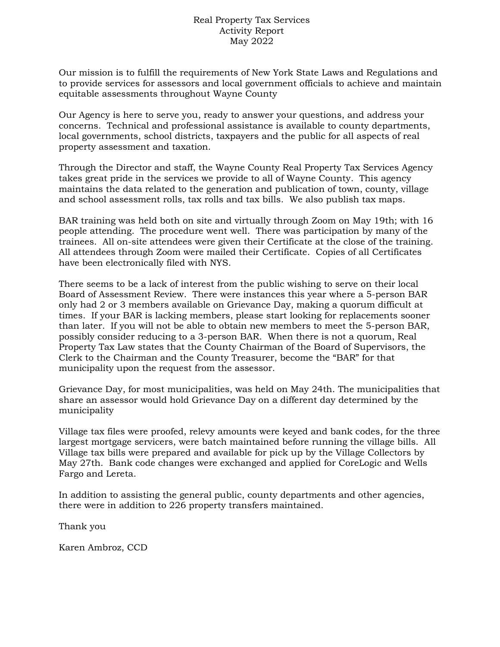## Real Property Tax Services Activity Report May 2022

Our mission is to fulfill the requirements of New York State Laws and Regulations and to provide services for assessors and local government officials to achieve and maintain equitable assessments throughout Wayne County

Our Agency is here to serve you, ready to answer your questions, and address your concerns. Technical and professional assistance is available to county departments, local governments, school districts, taxpayers and the public for all aspects of real property assessment and taxation.

Through the Director and staff, the Wayne County Real Property Tax Services Agency takes great pride in the services we provide to all of Wayne County. This agency maintains the data related to the generation and publication of town, county, village and school assessment rolls, tax rolls and tax bills. We also publish tax maps.

BAR training was held both on site and virtually through Zoom on May 19th; with 16 people attending. The procedure went well. There was participation by many of the trainees. All on-site attendees were given their Certificate at the close of the training. All attendees through Zoom were mailed their Certificate. Copies of all Certificates have been electronically filed with NYS.

There seems to be a lack of interest from the public wishing to serve on their local Board of Assessment Review. There were instances this year where a 5-person BAR only had 2 or 3 members available on Grievance Day, making a quorum difficult at times. If your BAR is lacking members, please start looking for replacements sooner than later. If you will not be able to obtain new members to meet the 5-person BAR, possibly consider reducing to a 3-person BAR. When there is not a quorum, Real Property Tax Law states that the County Chairman of the Board of Supervisors, the Clerk to the Chairman and the County Treasurer, become the "BAR" for that municipality upon the request from the assessor.

Grievance Day, for most municipalities, was held on May 24th. The municipalities that share an assessor would hold Grievance Day on a different day determined by the municipality

Village tax files were proofed, relevy amounts were keyed and bank codes, for the three largest mortgage servicers, were batch maintained before running the village bills. All Village tax bills were prepared and available for pick up by the Village Collectors by May 27th. Bank code changes were exchanged and applied for CoreLogic and Wells Fargo and Lereta.

In addition to assisting the general public, county departments and other agencies, there were in addition to 226 property transfers maintained.

Thank you

Karen Ambroz, CCD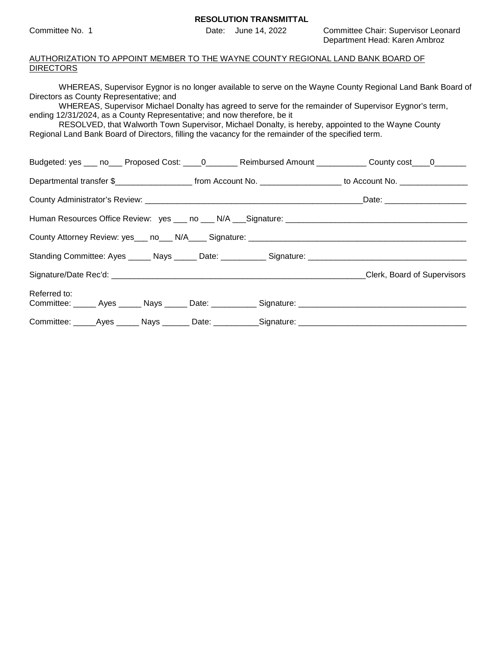Committee No. 1 Date: June 14, 2022 Committee Chair: Supervisor Leonard Department Head: Karen Ambroz

#### AUTHORIZATION TO APPOINT MEMBER TO THE WAYNE COUNTY REGIONAL LAND BANK BOARD OF **DIRECTORS**

| WHEREAS, Supervisor Eygnor is no longer available to serve on the Wayne County Regional Land Bank Board of |
|------------------------------------------------------------------------------------------------------------|
| Directors as County Representative; and                                                                    |
| WILIEDEAS, Supervisor Michael Depalty has assessed to come for the remainder of Supervisor Evance's term   |

WHEREAS, Supervisor Michael Donalty has agreed to serve for the remainder of Supervisor Eygnor's term, ending 12/31/2024, as a County Representative; and now therefore, be it

RESOLVED, that Walworth Town Supervisor, Michael Donalty, is hereby, appointed to the Wayne County Regional Land Bank Board of Directors, filling the vacancy for the remainder of the specified term.

| Budgeted: yes ___ no___ Proposed Cost: ____0________ Reimbursed Amount ___________ County cost____0_______                              |  |                             |
|-----------------------------------------------------------------------------------------------------------------------------------------|--|-----------------------------|
| Departmental transfer \$________________________________from Account No. ____________________________ to Account No. __________________ |  |                             |
|                                                                                                                                         |  |                             |
|                                                                                                                                         |  |                             |
|                                                                                                                                         |  |                             |
|                                                                                                                                         |  |                             |
|                                                                                                                                         |  | Clerk, Board of Supervisors |
| Referred to:                                                                                                                            |  |                             |
| Committee: _____Ayes ______ Nays _______ Date: ___________Signature: ______________________________                                     |  |                             |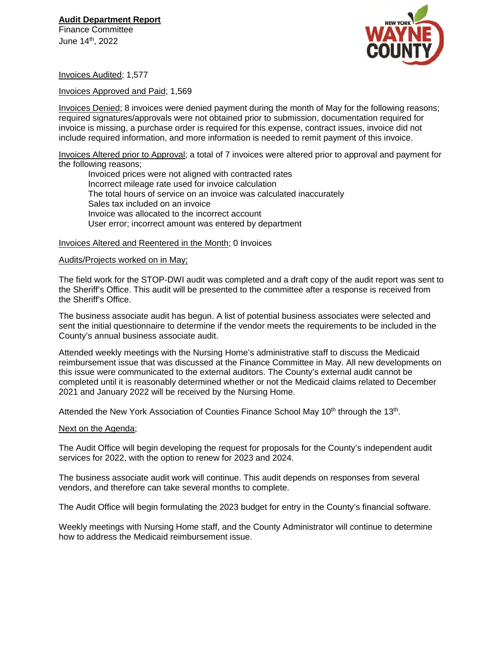# **Audit Department Report**

Finance Committee June 14th, 2022



Invoices Audited; 1,577

Invoices Approved and Paid; 1,569

Invoices Denied; 8 invoices were denied payment during the month of May for the following reasons; required signatures/approvals were not obtained prior to submission, documentation required for invoice is missing, a purchase order is required for this expense, contract issues, invoice did not include required information, and more information is needed to remit payment of this invoice.

Invoices Altered prior to Approval; a total of 7 invoices were altered prior to approval and payment for the following reasons;

Invoiced prices were not aligned with contracted rates Incorrect mileage rate used for invoice calculation The total hours of service on an invoice was calculated inaccurately Sales tax included on an invoice Invoice was allocated to the incorrect account User error; incorrect amount was entered by department

Invoices Altered and Reentered in the Month; 0 Invoices

#### Audits/Projects worked on in May;

The field work for the STOP-DWI audit was completed and a draft copy of the audit report was sent to the Sheriff's Office. This audit will be presented to the committee after a response is received from the Sheriff's Office.

The business associate audit has begun. A list of potential business associates were selected and sent the initial questionnaire to determine if the vendor meets the requirements to be included in the County's annual business associate audit.

Attended weekly meetings with the Nursing Home's administrative staff to discuss the Medicaid reimbursement issue that was discussed at the Finance Committee in May. All new developments on this issue were communicated to the external auditors. The County's external audit cannot be completed until it is reasonably determined whether or not the Medicaid claims related to December 2021 and January 2022 will be received by the Nursing Home.

Attended the New York Association of Counties Finance School May 10<sup>th</sup> through the 13<sup>th</sup>.

#### Next on the Agenda;

The Audit Office will begin developing the request for proposals for the County's independent audit services for 2022, with the option to renew for 2023 and 2024.

The business associate audit work will continue. This audit depends on responses from several vendors, and therefore can take several months to complete.

The Audit Office will begin formulating the 2023 budget for entry in the County's financial software.

Weekly meetings with Nursing Home staff, and the County Administrator will continue to determine how to address the Medicaid reimbursement issue.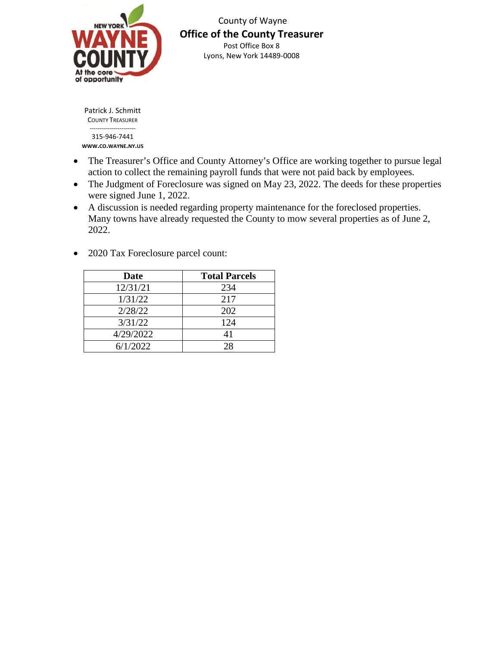

 County of Wayne **Office of the County Treasurer**  Post Office Box 8 Lyons, New York 14489-0008

Patrick J. Schmitt COUNTY TREASURER ----------------------- 315-946-7441 **WWW.CO.WAYNE.NY.US**

- The Treasurer's Office and County Attorney's Office are working together to pursue legal action to collect the remaining payroll funds that were not paid back by employees.
- The Judgment of Foreclosure was signed on May 23, 2022. The deeds for these properties were signed June 1, 2022.
- A discussion is needed regarding property maintenance for the foreclosed properties. Many towns have already requested the County to mow several properties as of June 2, 2022.
- 2020 Tax Foreclosure parcel count:

| <b>Date</b> | <b>Total Parcels</b> |
|-------------|----------------------|
| 12/31/21    | 234                  |
| 1/31/22     | 217                  |
| 2/28/22     | 202                  |
| 3/31/22     | 124                  |
| 4/29/2022   | 41                   |
| 6/1/2022    | 28                   |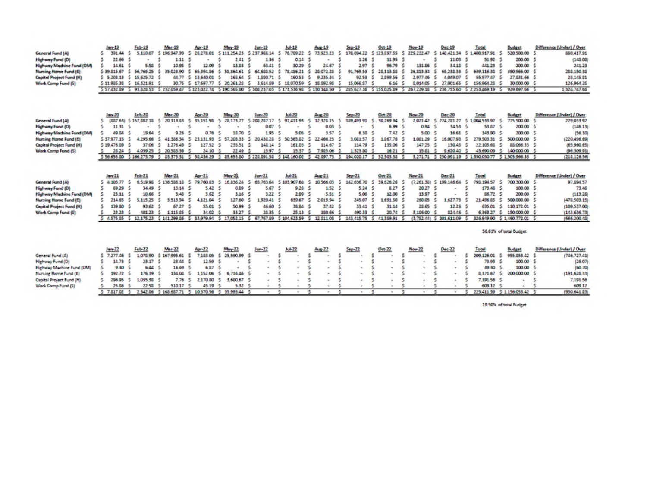|                                                | $len-19$                                                                                                                                                                 | $F$ eh-19            | Mar-19                     | Apr-19                    | <b>May-19</b>                      | $lum-19$                 | $Juh-19$                                                                  | Aug-19                    | $Step-19$                    | Oct-19                         | Nov-19             | Dec-19                   | Total                    | <b><i><u>Dunget</u></i></b>                               | Difference (Under) / Over               |
|------------------------------------------------|--------------------------------------------------------------------------------------------------------------------------------------------------------------------------|----------------------|----------------------------|---------------------------|------------------------------------|--------------------------|---------------------------------------------------------------------------|---------------------------|------------------------------|--------------------------------|--------------------|--------------------------|--------------------------|-----------------------------------------------------------|-----------------------------------------|
| <b>General Fund (A)</b>                        | 391.44                                                                                                                                                                   | 5,110.07             | 196,947.99                 | 26,278.01<br>5            | 5 111 254 23 5 237 968 14          |                          | 76,789.22<br>-5                                                           | 73, 923, 23<br>s.         |                              | 178.694.22 \$123.097.55        | 229, 222, 47<br>s  | 140,421.54<br>s          | 5 1,400,917.91 \$        | 520,500.00                                                | 550,417.91                              |
| Highway Fund (D)                               | 22.66                                                                                                                                                                    |                      | 1.11                       | $\sim$                    | 2.41                               | S.<br>136                | 0.14                                                                      |                           | 1.26                         | 11.95                          | ٠                  | 11.03                    | 51.92 \$                 | 200.00                                                    | (146.06)                                |
| <b>Highway Machine Fund (DM)</b>               | 14.61                                                                                                                                                                    | 5.55                 | 10.95                      | 12.09                     | 13.83                              | 63.41                    | 30.29                                                                     | 24.67                     | 297                          | 96.79                          | 131.86             | 34.15                    | 441 23 \$                | 200.00                                                    | 241.23                                  |
| Nursing Home Fund (E)                          | 5 39 815 67                                                                                                                                                              | 56,765.25            | 35,023,90<br>s             | s<br>65.394.86            | s<br>55.864.61                     | s<br>64<br>655 52        | 5<br>78,486.21                                                            | 26,072.28<br>s            | 91,769.53                    | 25.113.55<br>s                 | 26,883.34          | s<br>65,238,33           | 639,116.35               | 350 966 00<br>s                                           | 205,150.35                              |
| <b>Capital Project Fund (H)</b>                | 5 5, 203.13                                                                                                                                                              | 15,625.72            | 44.77                      | 5<br>13,640.01            | 168.64                             | 5<br>1,550.71            | 160.53                                                                    | s.<br>9, 235, 34          | 92.53                        | s<br>2.099.56                  | 2977.46            | 4.049.07<br>s            | 55.977.47                | 27.831.66 \$                                              | 28,145.81                               |
| Work Comp Fund (5)                             | 5 11,985.38<br>5                                                                                                                                                         | 16.321.91            | 30.75                      | 5 17,697.77               | 5 20, 261.28                       | s<br>3,614.09            | 5 15,070.59                                                               | 5 10,092.90               | 15,066.87                    | 6.16                           | 8.014.05           | 5<br>27,001.65           | 156,964.25               | 30,000.00 \$                                              | 126,964.25                              |
|                                                | 5 57.432.09 5 93.020.53 5 232.059.47 5 123.022.74 5 190.565.00 5 300.237.03 5 173.536.90 5 130.140.50 5 205.627.30 5 155.025.09 5 267.229.10 5 236.755.60 5 2.253.469.19 |                      |                            |                           |                                    |                          |                                                                           |                           |                              |                                |                    |                          |                          | 929.697.66 \$<br>-51                                      | 1.324.747.64                            |
| General Fund (A)                               | $len-20$<br>(887.63) 5 157.882 18                                                                                                                                        | Feb-20               | <b>Mar-20</b><br>20,119.83 | Apr-20<br>35,151.98<br>s. | <b>May 20</b><br>28.173.77<br>s    | $Jum-20$<br>\$206,287.17 | $Ju + 20$<br>97,411.95<br>5                                               | Aug-20<br>12.328.15<br>-5 | $5$ ep 20<br>189,493.91<br>s | $Oct-20$<br>30.269.94 \$<br>-5 | Nov 20<br>2.021.42 | $Dec-20$<br>5 224 281 27 | Total<br>5 1004 533 92 5 | <b>Budget</b><br>775,500.00                               | Difference (Under) / Over<br>229,033.92 |
| <b>Highway Fund (D)</b>                        | s<br>11 31                                                                                                                                                               |                      |                            |                           | s                                  | 0.07<br>s                | S                                                                         | 0.03                      |                              | 6.99<br>S.                     | 0.94<br>s          | 34.53<br>-S              | 53.87 \$                 | 200.00                                                    | (146.13)                                |
| <b>Highway Machine Fund (DM)</b>               | 49.84                                                                                                                                                                    | 15.64                | 9.26                       | 0.76                      | 18.70                              | 195                      | 5.05<br>×,                                                                | 3.57                      | 6.10                         | 7.42                           | 5.00               | 16.61                    | 143.90                   | 200.00 \$<br>-5                                           | (56.10)                                 |
| Nursing Home Fund (E)                          | 5.37.977.15                                                                                                                                                              | 4.295.66             | 41.386.54                  | $\sim$<br>23.131.93       | 5.57<br>203.33                     | s.<br>20.438.28          | s<br>50 565 82                                                            | s.<br>22,466.25           | 1.081.57                     | 1.067.76                       | 108129             | s.<br>16<br>007.93       | 279,503.31               | 5<br>500 000 00                                           | (220,496.69)                            |
| <b>Capital Project Fund (H)</b>                | 5.19.476.39                                                                                                                                                              | 37.06                | 1,276.49                   | 127.52                    | 295.51<br>s                        | 145.14                   | 161.25                                                                    | s<br>114.67               | 114.79                       | 135.06                         | 147.25             | 130.45                   | 22.105.65                | 88.066.33                                                 | (65,960.65)                             |
| Work Comp Fund (5)                             | 28.24                                                                                                                                                                    | 4.039.25             | 20,583.39<br>5             | 24.10                     | 22.49                              | 15.97                    | 15.57                                                                     | 7,905.06                  | 1323.80                      | 16.21                          | 15.81              | 9,620.40<br>ß.           | 43,690.09                | 5<br>140,000.00                                           | (96,309.91                              |
|                                                | 5 56,655.00 \$ 166,273.79 \$ 83,375.31 \$ 58,436.29 \$ 85,653.80 \$ 228,891.58 \$ 148,160.02 \$                                                                          |                      |                            |                           |                                    |                          |                                                                           | 42,897.73                 | s                            | 194,020.17 \$ 32,303.38        |                    |                          |                          | 3.271.71 \$ 250.091.19 \$ 1.350.030.77 \$ 1.503.966.33 \$ | (215,126.36)                            |
|                                                |                                                                                                                                                                          |                      |                            |                           |                                    |                          |                                                                           |                           |                              |                                |                    |                          |                          |                                                           |                                         |
|                                                |                                                                                                                                                                          |                      |                            |                           |                                    |                          |                                                                           |                           |                              |                                |                    |                          |                          |                                                           |                                         |
|                                                | lan-21                                                                                                                                                                   | Feb-21               | Mar-21                     | Apr-21                    | May-20                             | $_{\text{burn}-21}$      | $Jub-21$                                                                  | Aug-21                    | $5.0 - 21$                   | $Oct-21$                       | Nov-21             | Dez-21                   | Total                    | <b>Budget</b>                                             | Difference (Under) / Over               |
| General Fund (A)                               | 54.105.77                                                                                                                                                                | 6.519.95             | 5 136,586.18               | 79,760.53                 | 16.836.24<br>5                     | 65,763.64<br>5           | 5 103 907 68                                                              | 10 566 03                 | 142,636.70                   | 39.626.26<br>-5                | $(7.261.38)$ 5     | 199,146.64               | 798.194.57               | 700.300.00<br>-5                                          | 97,094.57                               |
| <b>Highway Fund (D)</b>                        | 5<br>69.29                                                                                                                                                               | 34.49                | 13.14                      | 5.42<br>-5                | 0.09                               | 5.67                     | 9.28 <sub>5</sub><br>5                                                    | 1.52                      | 5.24 <sub>5</sub>            | $0.27 - 5$                     | 20.27              |                          | 173.40 \$                | 100.00 \$                                                 | 73.45                                   |
| <b>Highway Machine Fund (DM)</b>               | 23.11                                                                                                                                                                    | 10.66                | 3.48                       | 3.62                      | 3.16                               | 3.22                     | 2.99<br>5                                                                 | 5.51                      | 5.00                         | 12.00 \$<br>5                  | 13.97              | $\blacksquare$           | 36.72 <sub>5</sub>       | 200.00 \$                                                 | (113.26)                                |
| Nursing Home Fund (E)                          | 214.65<br>-5                                                                                                                                                             | 5,115.25             | 3.513.94                   | 4,121.04<br>5             | 127.60                             | 1,920.41<br>5            | 639.67                                                                    | 2.019.94<br>5             | 245.07                       | 1,691.50 \$<br>-5              | 260.05             | .627.73<br>-5            | 21,496.85                | 5<br>500 000 00                                           | (478,503.15)                            |
| <b>Capital Project Fund (H)</b>                | 139.50                                                                                                                                                                   | 93.62                | 67.27                      | 55.01<br>-5               | 50.99                              | 46.60                    | 38.84                                                                     | 37.42 \$<br>國             | 33.41 \$                     | 31.14 \$                       | 28.65 S            | 12.26                    | 635.01                   | 110 172 01 5<br>-5                                        | (109.537.00)                            |
| Work Comp Fund (5)                             | 23.23                                                                                                                                                                    | 401 23               | 1,115.85<br>×.             | 34.02                     | 33.27                              | 28.35                    | 25.13                                                                     | 150.66                    | 490.33                       | 20.74                          | 3.186.00           | 524.46                   | 6.363.27                 | 5<br>150,000.00 \$                                        | (143,636.73)                            |
|                                                | 4.575.85 \$                                                                                                                                                              |                      |                            |                           |                                    |                          | 12 175 23 5 141 299 86 5 83 979 94 5 17 052 15 5 67 767 89 5 104 623 99 5 | 12 811 06                 | 143,415.75 \$                | 41,389.91                      |                    | (3.752.44) 5 201.611.09  | 826,949.90               | 5 1 460 772 01 5                                          | (666,200.45)                            |
|                                                |                                                                                                                                                                          |                      |                            |                           |                                    |                          |                                                                           |                           |                              |                                |                    |                          |                          | 56.61% of total Budget                                    |                                         |
|                                                | $len-22$                                                                                                                                                                 | Feb-22               | Mar-22                     | Apr-22                    | May 22                             | Jun-22                   | $Ju + 22$                                                                 | Aug-22                    | $5ep-22$                     | $0ct$ $22$                     | Nov-22             | Dec-22                   | Total                    |                                                           | Difference (Under) / Over               |
| General Fund (A)                               | 57.277.46                                                                                                                                                                | 1,075.90             | 167,995.61                 | 7,153.05                  | 25,590.99                          |                          |                                                                           |                           |                              |                                |                    |                          | 209,126.01 5             | <b>Budget</b><br>955 853 42                               |                                         |
|                                                | 14.73 <sub>5</sub>                                                                                                                                                       | 23.17 5              | 23.44                      | 12.59<br>-5               |                                    |                          |                                                                           | Ł.                        |                              | e                              | ¢,<br>٠            |                          | 73.93 5                  | 100.00 \$                                                 | (746, 727, 41)                          |
| Highway Fund (D)                               |                                                                                                                                                                          | 6.44                 | 16.69                      | 6.57                      |                                    |                          | s                                                                         | ś                         |                              |                                | á.                 |                          | 39.30                    | 100.00 \$<br>-5                                           | (26.07)                                 |
| Highway Machine Fund (DM)                      | 9.30                                                                                                                                                                     | 176.39               | 134.04                     | s<br>1.152.06             | 6.716.46                           | ۰                        | 5<br>٠                                                                    | s                         | ۰                            | $\sim$                         | ÷                  | ۰                        | 8371.67                  | 200,000.00                                                | (60.70)                                 |
| Nursing Home Fund (E)                          | 192.72                                                                                                                                                                   |                      |                            |                           |                                    | ۰                        | ۰                                                                         |                           | $\overline{\phantom{a}}$     | ۰                              | ٠                  | 号<br>٠                   |                          | -5                                                        | (191.625.33)                            |
| Capital Project Fund (H)<br>Work Comp Fund (5) | 296.95<br>5<br>25.06<br>尽                                                                                                                                                | 1.035.30 \$<br>22.56 | 7.76<br>510.17             | 5<br>2 170.50<br>45.19    | 5<br>3,600.67<br>5.32 <sup>5</sup> |                          | 专<br>r,                                                                   | ś<br>s                    | $\sim$                       | $\overline{\phantom{a}}$       | ٠                  | $\blacksquare$           | 7,191.56 \$<br>609.12    |                                                           | 7,191.56<br>609.12                      |

19.50% of total Budget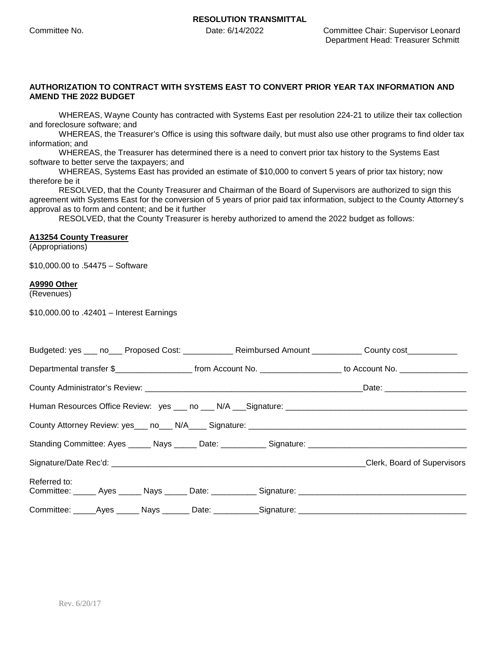#### **AUTHORIZATION TO CONTRACT WITH SYSTEMS EAST TO CONVERT PRIOR YEAR TAX INFORMATION AND AMEND THE 2022 BUDGET**

WHEREAS, Wayne County has contracted with Systems East per resolution 224-21 to utilize their tax collection and foreclosure software; and

WHEREAS, the Treasurer's Office is using this software daily, but must also use other programs to find older tax information; and

WHEREAS, the Treasurer has determined there is a need to convert prior tax history to the Systems East software to better serve the taxpayers; and

WHEREAS, Systems East has provided an estimate of \$10,000 to convert 5 years of prior tax history; now therefore be it

RESOLVED, that the County Treasurer and Chairman of the Board of Supervisors are authorized to sign this agreement with Systems East for the conversion of 5 years of prior paid tax information, subject to the County Attorney's approval as to form and content; and be it further

RESOLVED, that the County Treasurer is hereby authorized to amend the 2022 budget as follows:

#### **A13254 County Treasurer**

(Appropriations)

\$10,000.00 to .54475 – Software

#### **A9990 Other**

(Revenues)

\$10,000.00 to .42401 – Interest Earnings

| Budgeted: yes ___ no___ Proposed Cost: ____________ Reimbursed Amount ___________ County cost ___________             |  |  |
|-----------------------------------------------------------------------------------------------------------------------|--|--|
| Departmental transfer \$________________________ from Account No. ____________________ to Account No. _______________ |  |  |
|                                                                                                                       |  |  |
|                                                                                                                       |  |  |
|                                                                                                                       |  |  |
|                                                                                                                       |  |  |
|                                                                                                                       |  |  |
| Referred to:                                                                                                          |  |  |
| Committee: _____Ayes ______ Nays _______ Date: ___________Signature: ______________________________                   |  |  |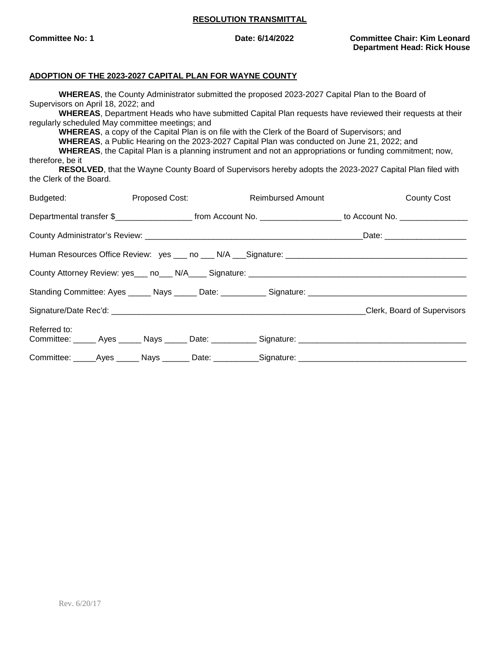**Committee No: 1 Date: 6/14/2022 Committee Chair: Kim Leonard Department Head: Rick House**

#### **ADOPTION OF THE 2023-2027 CAPITAL PLAN FOR WAYNE COUNTY**

**WHEREAS**, the County Administrator submitted the proposed 2023-2027 Capital Plan to the Board of Supervisors on April 18, 2022; and

**WHEREAS**, Department Heads who have submitted Capital Plan requests have reviewed their requests at their regularly scheduled May committee meetings; and

**WHEREAS**, a copy of the Capital Plan is on file with the Clerk of the Board of Supervisors; and

**WHEREAS**, a Public Hearing on the 2023-2027 Capital Plan was conducted on June 21, 2022; and

**WHEREAS**, the Capital Plan is a planning instrument and not an appropriations or funding commitment; now, therefore, be it

**RESOLVED**, that the Wayne County Board of Supervisors hereby adopts the 2023-2027 Capital Plan filed with the Clerk of the Board.

| Budgeted:    |  | Proposed Cost: | <b>Reimbursed Amount</b>                                                                                                                 | <b>County Cost</b>          |
|--------------|--|----------------|------------------------------------------------------------------------------------------------------------------------------------------|-----------------------------|
|              |  |                | Departmental transfer \$________________________________from Account No. ____________________________ to Account No. ___________________ |                             |
|              |  |                |                                                                                                                                          |                             |
|              |  |                |                                                                                                                                          |                             |
|              |  |                |                                                                                                                                          |                             |
|              |  |                |                                                                                                                                          |                             |
|              |  |                |                                                                                                                                          | Clerk, Board of Supervisors |
| Referred to: |  |                |                                                                                                                                          |                             |
|              |  |                | Committee: _____Ayes ______ Nays _______ Date: ___________Signature: _______________________________                                     |                             |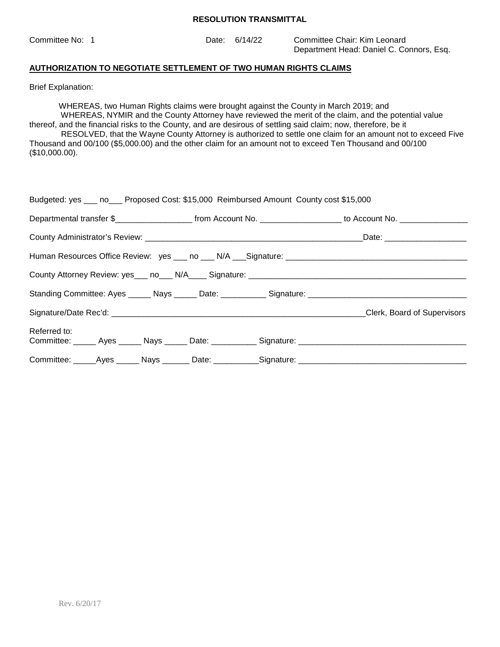Committee No: 1 Date: 6/14/22 Committee Chair: Kim Leonard Department Head: Daniel C. Connors, Esq.

### **AUTHORIZATION TO NEGOTIATE SETTLEMENT OF TWO HUMAN RIGHTS CLAIMS**

Brief Explanation:

WHEREAS, two Human Rights claims were brought against the County in March 2019; and WHEREAS, NYMIR and the County Attorney have reviewed the merit of the claim, and the potential value thereof, and the financial risks to the County, and are desirous of settling said claim; now, therefore, be it

 RESOLVED, that the Wayne County Attorney is authorized to settle one claim for an amount not to exceed Five Thousand and 00/100 (\$5,000.00) and the other claim for an amount not to exceed Ten Thousand and 00/100 (\$10,000.00).

|              |  | Budgeted: yes ___ no___ Proposed Cost: \$15,000 Reimbursed Amount County cost \$15,000 |                                                                                                                                         |
|--------------|--|----------------------------------------------------------------------------------------|-----------------------------------------------------------------------------------------------------------------------------------------|
|              |  |                                                                                        | Departmental transfer \$__________________________ from Account No. ______________________ to Account No. _____________________________ |
|              |  |                                                                                        |                                                                                                                                         |
|              |  |                                                                                        |                                                                                                                                         |
|              |  |                                                                                        |                                                                                                                                         |
|              |  |                                                                                        |                                                                                                                                         |
|              |  |                                                                                        | Clerk, Board of Supervisors                                                                                                             |
| Referred to: |  |                                                                                        |                                                                                                                                         |
|              |  |                                                                                        | Committee: _____Ayes ______ Nays _______ Date: ___________Signature: ______________________________                                     |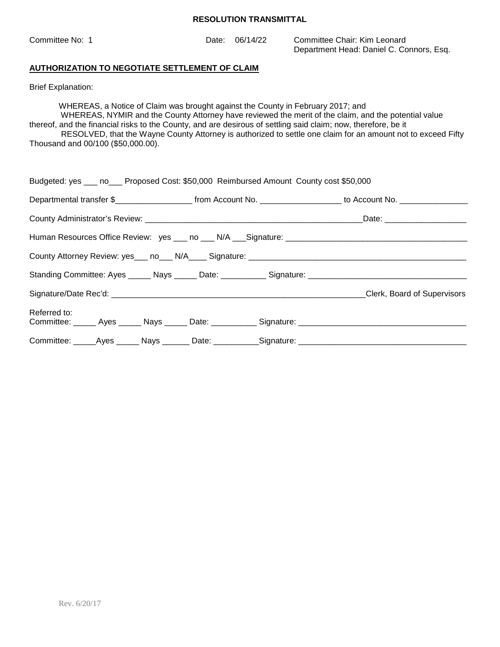| Committee No: 1 | Date: | 06/14/22 | Committee Chair: Kim Leonard             |
|-----------------|-------|----------|------------------------------------------|
|                 |       |          | Department Head: Daniel C. Connors, Esq. |

## **AUTHORIZATION TO NEGOTIATE SETTLEMENT OF CLAIM**

Brief Explanation:

WHEREAS, a Notice of Claim was brought against the County in February 2017; and

 WHEREAS, NYMIR and the County Attorney have reviewed the merit of the claim, and the potential value thereof, and the financial risks to the County, and are desirous of settling said claim; now, therefore, be it RESOLVED, that the Wayne County Attorney is authorized to settle one claim for an amount not to exceed Fifty Thousand and 00/100 (\$50,000.00).

| Budgeted: yes ___ no___ Proposed Cost: \$50,000 Reimbursed Amount County cost \$50,000               |  |                                                                                                                      |
|------------------------------------------------------------------------------------------------------|--|----------------------------------------------------------------------------------------------------------------------|
|                                                                                                      |  | Departmental transfer \$_______________________ from Account No. ___________________ to Account No. ________________ |
|                                                                                                      |  |                                                                                                                      |
|                                                                                                      |  |                                                                                                                      |
| County Attorney Review: yes ___ no ___ N/A ____ Signature: ______________________                    |  |                                                                                                                      |
|                                                                                                      |  |                                                                                                                      |
|                                                                                                      |  | <b>Clerk, Board of Supervisors</b>                                                                                   |
| Referred to:                                                                                         |  |                                                                                                                      |
| Committee: ______Ayes _______ Nays ________ Date: ___________Signature: ____________________________ |  |                                                                                                                      |